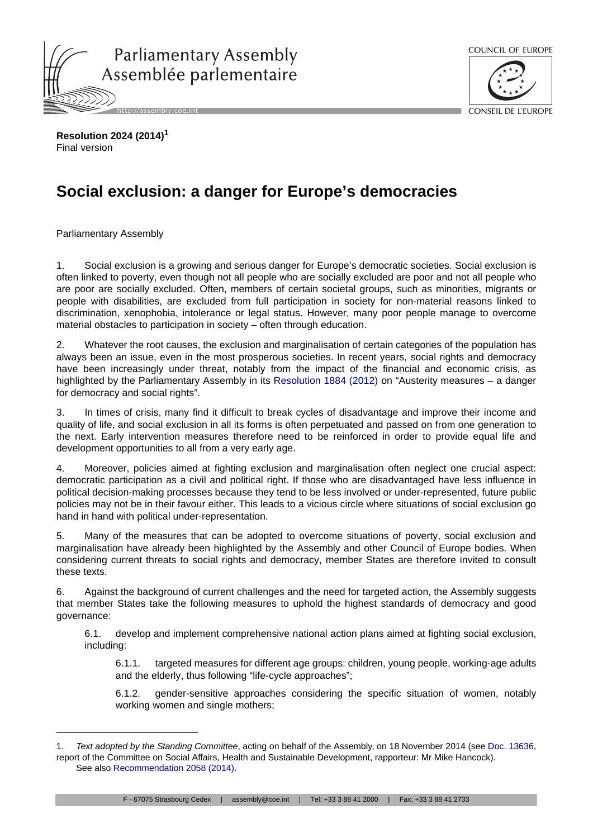



**Resolution 2024 (2014)<sup>1</sup>** Final version

## **Social exclusion: a danger for Europe's democracies**

Parliamentary Assembly

1. Social exclusion is a growing and serious danger for Europe's democratic societies. Social exclusion is often linked to poverty, even though not all people who are socially excluded are poor and not all people who are poor are socially excluded. Often, members of certain societal groups, such as minorities, migrants or people with disabilities, are excluded from full participation in society for non-material reasons linked to discrimination, xenophobia, intolerance or legal status. However, many poor people manage to overcome material obstacles to participation in society – often through education.

2. Whatever the root causes, the exclusion and marginalisation of certain categories of the population has always been an issue, even in the most prosperous societies. In recent years, social rights and democracy have been increasingly under threat, notably from the impact of the financial and economic crisis, as highlighted by the Parliamentary Assembly in its [Resolution 1884 \(2012\)](http://assembly.coe.int/ASP/Doc/XrefViewHTML.asp?FileId=18916&Language=en) on "Austerity measures – a danger for democracy and social rights".

3. In times of crisis, many find it difficult to break cycles of disadvantage and improve their income and quality of life, and social exclusion in all its forms is often perpetuated and passed on from one generation to the next. Early intervention measures therefore need to be reinforced in order to provide equal life and development opportunities to all from a very early age.

4. Moreover, policies aimed at fighting exclusion and marginalisation often neglect one crucial aspect: democratic participation as a civil and political right. If those who are disadvantaged have less influence in political decision-making processes because they tend to be less involved or under-represented, future public policies may not be in their favour either. This leads to a vicious circle where situations of social exclusion go hand in hand with political under-representation.

5. Many of the measures that can be adopted to overcome situations of poverty, social exclusion and marginalisation have already been highlighted by the Assembly and other Council of Europe bodies. When considering current threats to social rights and democracy, member States are therefore invited to consult these texts.

6. Against the background of current challenges and the need for targeted action, the Assembly suggests that member States take the following measures to uphold the highest standards of democracy and good governance:

6.1. develop and implement comprehensive national action plans aimed at fighting social exclusion, including:

6.1.1. targeted measures for different age groups: children, young people, working-age adults and the elderly, thus following "life-cycle approaches";

6.1.2. gender-sensitive approaches considering the specific situation of women, notably working women and single mothers;

<sup>1.</sup> *Text adopted by the Standing Committee*, acting on behalf of the Assembly, on 18 November 2014 (see [Doc. 13636](http://assembly.coe.int/ASP/Doc/XrefViewHTML.asp?FileId=21307&Language=en), report of the Committee on Social Affairs, Health and Sustainable Development, rapporteur: Mr Mike Hancock). See also [Recommendation 2058 \(2014\)](http://assembly.coe.int/ASP/Doc/XrefViewHTML.asp?FileId=21323&Language=en).